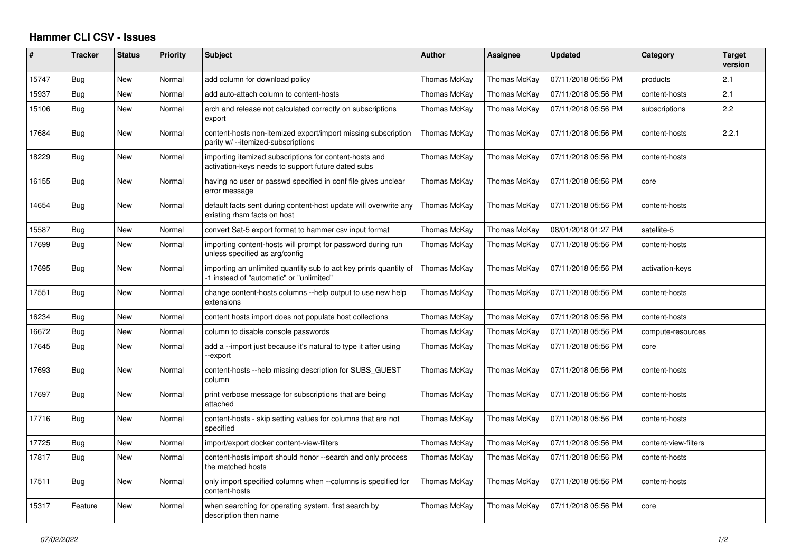## **Hammer CLI CSV - Issues**

| #     | <b>Tracker</b> | <b>Status</b> | <b>Priority</b> | <b>Subject</b>                                                                                                | <b>Author</b> | <b>Assignee</b> | <b>Updated</b>      | Category             | <b>Target</b><br>version |
|-------|----------------|---------------|-----------------|---------------------------------------------------------------------------------------------------------------|---------------|-----------------|---------------------|----------------------|--------------------------|
| 15747 | Bug            | New           | Normal          | add column for download policy                                                                                | Thomas McKay  | Thomas McKay    | 07/11/2018 05:56 PM | products             | 2.1                      |
| 15937 | Bug            | New           | Normal          | add auto-attach column to content-hosts                                                                       | Thomas McKay  | Thomas McKay    | 07/11/2018 05:56 PM | content-hosts        | 2.1                      |
| 15106 | Bug            | New           | Normal          | arch and release not calculated correctly on subscriptions<br>export                                          | Thomas McKay  | Thomas McKay    | 07/11/2018 05:56 PM | subscriptions        | 2.2                      |
| 17684 | Bug            | New           | Normal          | content-hosts non-itemized export/import missing subscription<br>parity w/ --itemized-subscriptions           | Thomas McKay  | Thomas McKay    | 07/11/2018 05:56 PM | content-hosts        | 2.2.1                    |
| 18229 | Bug            | New           | Normal          | importing itemized subscriptions for content-hosts and<br>activation-keys needs to support future dated subs  | Thomas McKay  | Thomas McKay    | 07/11/2018 05:56 PM | content-hosts        |                          |
| 16155 | Bug            | <b>New</b>    | Normal          | having no user or passwd specified in conf file gives unclear<br>error message                                | Thomas McKay  | Thomas McKay    | 07/11/2018 05:56 PM | core                 |                          |
| 14654 | Bug            | <b>New</b>    | Normal          | default facts sent during content-host update will overwrite any<br>existing rhsm facts on host               | Thomas McKay  | Thomas McKay    | 07/11/2018 05:56 PM | content-hosts        |                          |
| 15587 | Bug            | New           | Normal          | convert Sat-5 export format to hammer csv input format                                                        | Thomas McKay  | Thomas McKay    | 08/01/2018 01:27 PM | satellite-5          |                          |
| 17699 | Bug            | New           | Normal          | importing content-hosts will prompt for password during run<br>unless specified as arg/config                 | Thomas McKay  | Thomas McKay    | 07/11/2018 05:56 PM | content-hosts        |                          |
| 17695 | Bug            | <b>New</b>    | Normal          | importing an unlimited quantity sub to act key prints quantity of<br>-1 instead of "automatic" or "unlimited" | Thomas McKay  | Thomas McKay    | 07/11/2018 05:56 PM | activation-keys      |                          |
| 17551 | Bug            | <b>New</b>    | Normal          | change content-hosts columns --help output to use new help<br>extensions                                      | Thomas McKay  | Thomas McKay    | 07/11/2018 05:56 PM | content-hosts        |                          |
| 16234 | Bug            | New           | Normal          | content hosts import does not populate host collections                                                       | Thomas McKay  | Thomas McKay    | 07/11/2018 05:56 PM | content-hosts        |                          |
| 16672 | Bug            | New           | Normal          | column to disable console passwords                                                                           | Thomas McKay  | Thomas McKay    | 07/11/2018 05:56 PM | compute-resources    |                          |
| 17645 | Bug            | New           | Normal          | add a --import just because it's natural to type it after using<br>--export                                   | Thomas McKay  | Thomas McKay    | 07/11/2018 05:56 PM | core                 |                          |
| 17693 | Bug            | <b>New</b>    | Normal          | content-hosts --help missing description for SUBS GUEST<br>column                                             | Thomas McKay  | Thomas McKay    | 07/11/2018 05:56 PM | content-hosts        |                          |
| 17697 | Bug            | New           | Normal          | print verbose message for subscriptions that are being<br>attached                                            | Thomas McKay  | Thomas McKay    | 07/11/2018 05:56 PM | content-hosts        |                          |
| 17716 | Bug            | New           | Normal          | content-hosts - skip setting values for columns that are not<br>specified                                     | Thomas McKay  | Thomas McKay    | 07/11/2018 05:56 PM | content-hosts        |                          |
| 17725 | <b>Bug</b>     | New           | Normal          | import/export docker content-view-filters                                                                     | Thomas McKay  | Thomas McKay    | 07/11/2018 05:56 PM | content-view-filters |                          |
| 17817 | Bug            | New           | Normal          | content-hosts import should honor --search and only process<br>the matched hosts                              | Thomas McKay  | Thomas McKay    | 07/11/2018 05:56 PM | content-hosts        |                          |
| 17511 | Bug            | New           | Normal          | only import specified columns when --columns is specified for<br>content-hosts                                | Thomas McKay  | Thomas McKay    | 07/11/2018 05:56 PM | content-hosts        |                          |
| 15317 | Feature        | New           | Normal          | when searching for operating system, first search by<br>description then name                                 | Thomas McKay  | Thomas McKay    | 07/11/2018 05:56 PM | core                 |                          |